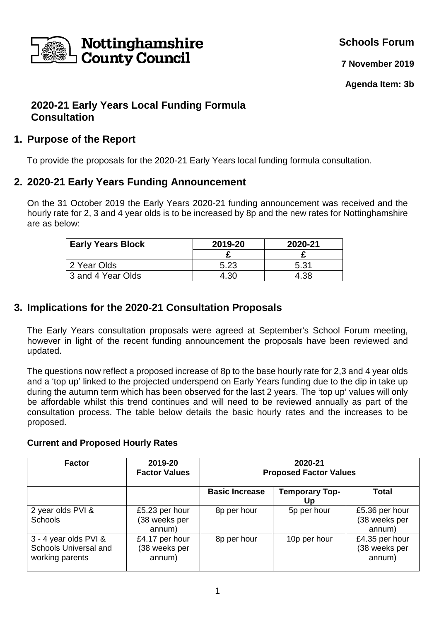

**Schools Forum**

**7 November 2019**

**Agenda Item: 3b** 

# **2020-21 Early Years Local Funding Formula Consultation**

## **1. Purpose of the Report**

To provide the proposals for the 2020-21 Early Years local funding formula consultation.

## **2. 2020-21 Early Years Funding Announcement**

On the 31 October 2019 the Early Years 2020-21 funding announcement was received and the hourly rate for 2, 3 and 4 year olds is to be increased by 8p and the new rates for Nottinghamshire are as below:

| <b>Early Years Block</b> | 2019-20 | 2020-21 |
|--------------------------|---------|---------|
|                          |         |         |
| 2 Year Olds              | 5.23    | 5.31    |
| 3 and 4 Year Olds        | 4.30    | 4.38    |

# **3. Implications for the 2020-21 Consultation Proposals**

The Early Years consultation proposals were agreed at September's School Forum meeting, however in light of the recent funding announcement the proposals have been reviewed and updated.

The questions now reflect a proposed increase of 8p to the base hourly rate for 2,3 and 4 year olds and a 'top up' linked to the projected underspend on Early Years funding due to the dip in take up during the autumn term which has been observed for the last 2 years. The 'top up' values will only be affordable whilst this trend continues and will need to be reviewed annually as part of the consultation process. The table below details the basic hourly rates and the increases to be proposed.

### **Current and Proposed Hourly Rates**

| <b>Factor</b>                                                     | 2019-20<br><b>Factor Values</b>           | 2020-21<br><b>Proposed Factor Values</b> |                             |                                           |
|-------------------------------------------------------------------|-------------------------------------------|------------------------------------------|-----------------------------|-------------------------------------------|
|                                                                   |                                           | <b>Basic Increase</b>                    | <b>Temporary Top-</b><br>Uɒ | Total                                     |
| 2 year olds PVI &<br><b>Schools</b>                               | £5.23 per hour<br>(38 weeks per<br>annum) | 8p per hour                              | 5p per hour                 | £5.36 per hour<br>(38 weeks per<br>annum) |
| 3 - 4 year olds PVI &<br>Schools Universal and<br>working parents | £4.17 per hour<br>(38 weeks per<br>annum) | 8p per hour                              | 10p per hour                | £4.35 per hour<br>(38 weeks per<br>annum) |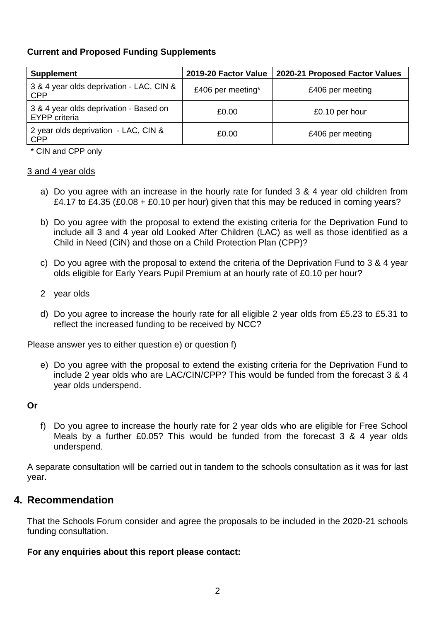### **Current and Proposed Funding Supplements**

| <b>Supplement</b>                                              | 2019-20 Factor Value | 2020-21 Proposed Factor Values |
|----------------------------------------------------------------|----------------------|--------------------------------|
| 3 & 4 year olds deprivation - LAC, CIN &<br><b>CPP</b>         | £406 per meeting*    | £406 per meeting               |
| 3 & 4 year olds deprivation - Based on<br><b>EYPP</b> criteria | £0.00                | £0.10 per hour                 |
| 2 year olds deprivation - LAC, CIN &<br><b>CPP</b>             | £0.00                | £406 per meeting               |

\* CIN and CPP only

#### 3 and 4 year olds

- a) Do you agree with an increase in the hourly rate for funded 3 & 4 year old children from £4.17 to £4.35 (£0.08 + £0.10 per hour) given that this may be reduced in coming years?
- b) Do you agree with the proposal to extend the existing criteria for the Deprivation Fund to include all 3 and 4 year old Looked After Children (LAC) as well as those identified as a Child in Need (CiN) and those on a Child Protection Plan (CPP)?
- c) Do you agree with the proposal to extend the criteria of the Deprivation Fund to 3 & 4 year olds eligible for Early Years Pupil Premium at an hourly rate of £0.10 per hour?

#### 2 year olds

d) Do you agree to increase the hourly rate for all eligible 2 year olds from £5.23 to £5.31 to reflect the increased funding to be received by NCC?

Please answer yes to either question e) or question f)

e) Do you agree with the proposal to extend the existing criteria for the Deprivation Fund to include 2 year olds who are LAC/CIN/CPP? This would be funded from the forecast 3 & 4 year olds underspend.

#### **Or**

f) Do you agree to increase the hourly rate for 2 year olds who are eligible for Free School Meals by a further £0.05? This would be funded from the forecast 3 & 4 year olds underspend.

A separate consultation will be carried out in tandem to the schools consultation as it was for last year.

### **4. Recommendation**

That the Schools Forum consider and agree the proposals to be included in the 2020-21 schools funding consultation.

#### **For any enquiries about this report please contact:**